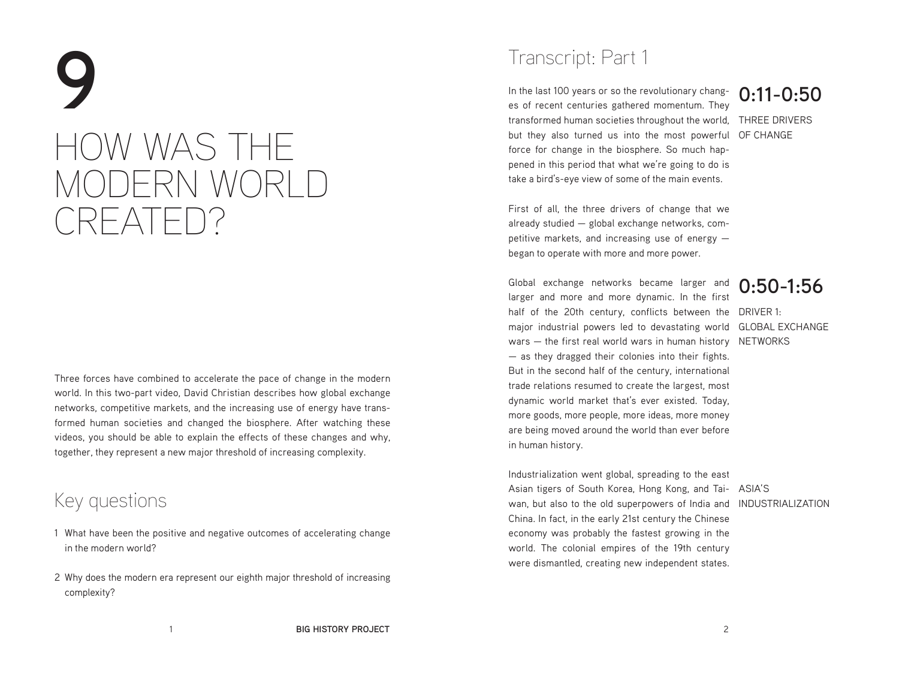# **9** HOW WAS THE MODERN WORLD CREATED?

Three forces have combined to accelerate the pace of change in the modern world. In this two-part video, David Christian describes how global exchange networks, competitive markets, and the increasing use of energy have transformed human societies and changed the biosphere. After watching these videos, you should be able to explain the effects of these changes and why, together, they represent a new major threshold of increasing complexity.

### Key questions

- 1 What have been the positive and negative outcomes of accelerating change in the modern world?
- 2 Why does the modern era represent our eighth major threshold of increasing complexity?

# Transcript: Part 1

transformed human societies throughout the world, THREE DRIVERS but they also turned us into the most powerful OF CHANGE In the last 100 years or so the revolutionary changes of recent centuries gathered momentum. They force for change in the biosphere. So much happened in this period that what we're going to do is take a bird's-eye view of some of the main events.

# **0:11-0:50**

First of all, the three drivers of change that we already studied — global exchange networks, competitive markets, and increasing use of energy began to operate with more and more power.

half of the 20th century, conflicts between the DRIVER 1: major industrial powers led to devastating world GLOBAL EXCHANGE wars – the first real world wars in human history NETWORKS Global exchange networks became larger and larger and more and more dynamic. In the first — as they dragged their colonies into their fights. But in the second half of the century, international trade relations resumed to create the largest, most dynamic world market that's ever existed. Today, more goods, more people, more ideas, more money are being moved around the world than ever before in human history.

**0:50-1:56**

Asian tigers of South Korea, Hong Kong, and Tai- ASIA'S wan, but also to the old superpowers of India and INDUSTRIALIZATION Industrialization went global, spreading to the east China. In fact, in the early 21st century the Chinese economy was probably the fastest growing in the world. The colonial empires of the 19th century were dismantled, creating new independent states.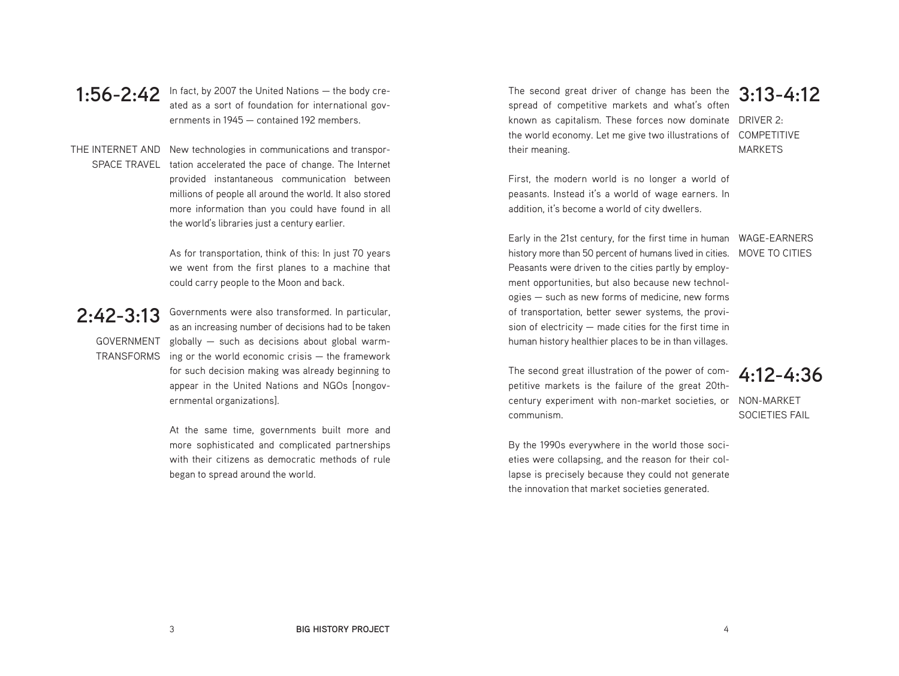**1:56-2:42** In fact, by 2007 the United Nations  $-$  the body cre-<br>**1:56-2:42** Integrated as a sect of foundation for international gave ated as a sort of foundation for international governments in 1945 — contained 192 members.

THE INTERNET AND New technologies in communications and transpor-SPACE TRAVEL tation accelerated the pace of change. The Internet provided instantaneous communication between millions of people all around the world. It also stored more information than you could have found in all the world's libraries just a century earlier.

> As for transportation, think of this: In just 70 years we went from the first planes to a machine that could carry people to the Moon and back.

#### **2:42-3:13**

GOVERNMENT **TRANSFORMS** 

Governments were also transformed. In particular, as an increasing number of decisions had to be taken globally — such as decisions about global warming or the world economic crisis — the framework for such decision making was already beginning to appear in the United Nations and NGOs [nongovernmental organizations].

At the same time, governments built more and more sophisticated and complicated partnerships with their citizens as democratic methods of rule began to spread around the world.

The second great driver of change has been the **3:13-4:12** known as capitalism. These forces now dominate DRIVER 2: the world economy. Let me give two illustrations of COMPETITIVE spread of competitive markets and what's often their meaning.

MARKETS

First, the modern world is no longer a world of peasants. Instead it's a world of wage earners. In addition, it's become a world of city dwellers.

Early in the 21st century, for the first time in human WAGE-EARNERS history more than 50 percent of humans lived in cities. MOVE TO CITIES Peasants were driven to the cities partly by employment opportunities, but also because new technologies — such as new forms of medicine, new forms of transportation, better sewer systems, the provision of electricity  $-$  made cities for the first time in human history healthier places to be in than villages.

century experiment with non-market societies, or NON-MARKET The second great illustration of the power of competitive markets is the failure of the great 20thcommunism.

#### **4:12-4:36**

SOCIETIES FAIL

By the 1990s everywhere in the world those societies were collapsing, and the reason for their collapse is precisely because they could not generate the innovation that market societies generated.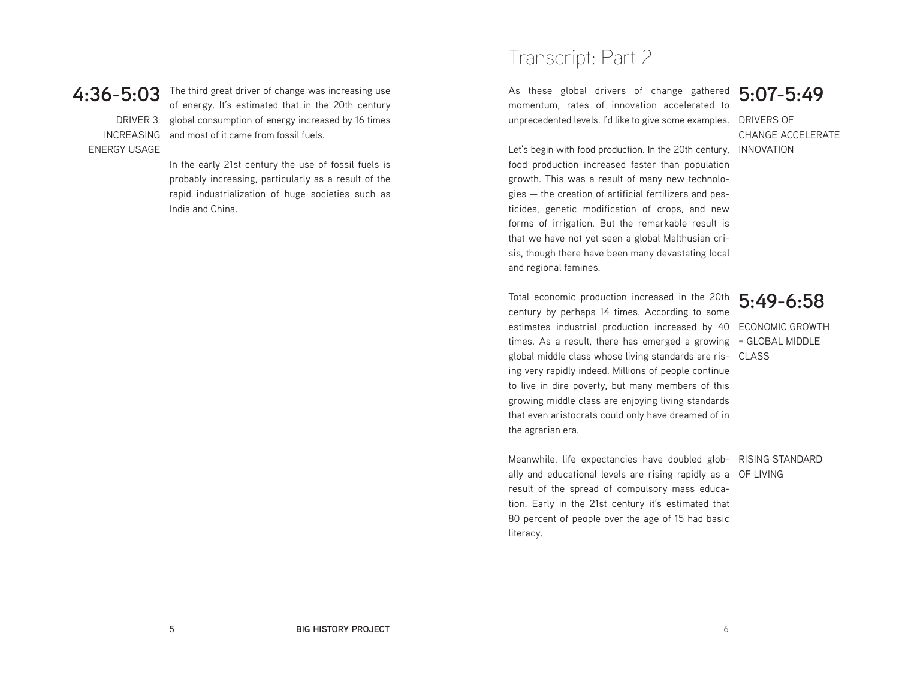#### **4:36-5:03**

ENERGY USAGE

DRIVER 3: global consumption of energy increased by 16 times INCREASING and most of it came from fossil fuels. The third great driver of change was increasing use of energy. It's estimated that in the 20th century

> In the early 21st century the use of fossil fuels is probably increasing, particularly as a result of the rapid industrialization of huge societies such as India and China.

### Transcript: Part 2

unprecedented levels. I'd like to give some examples. DRIVERS OF As these global drivers of change gathered momentum, rates of innovation accelerated to

**5:07-5:49**

CHANGE ACCELERATE

Let's begin with food production. In the 20th century, INNOVATION food production increased faster than population growth. This was a result of many new technologies — the creation of artificial fertilizers and pesticides, genetic modification of crops, and new forms of irrigation. But the remarkable result is that we have not yet seen a global Malthusian crisis, though there have been many devastating local and regional famines.

Total economic production increased in the 20th **5:49-6:58** estimates industrial production increased by 40 ECONOMIC GROWTH times. As a result, there has emerged a growing = GLOBAL MIDDLE global middle class whose living standards are ris- CLASS century by perhaps 14 times. According to some ing very rapidly indeed. Millions of people continue to live in dire poverty, but many members of this growing middle class are enjoying living standards that even aristocrats could only have dreamed of in the agrarian era.

Meanwhile, life expectancies have doubled glob- RISING STANDARD ally and educational levels are rising rapidly as a OF LIVING result of the spread of compulsory mass education. Early in the 21st century it's estimated that 80 percent of people over the age of 15 had basic literacy.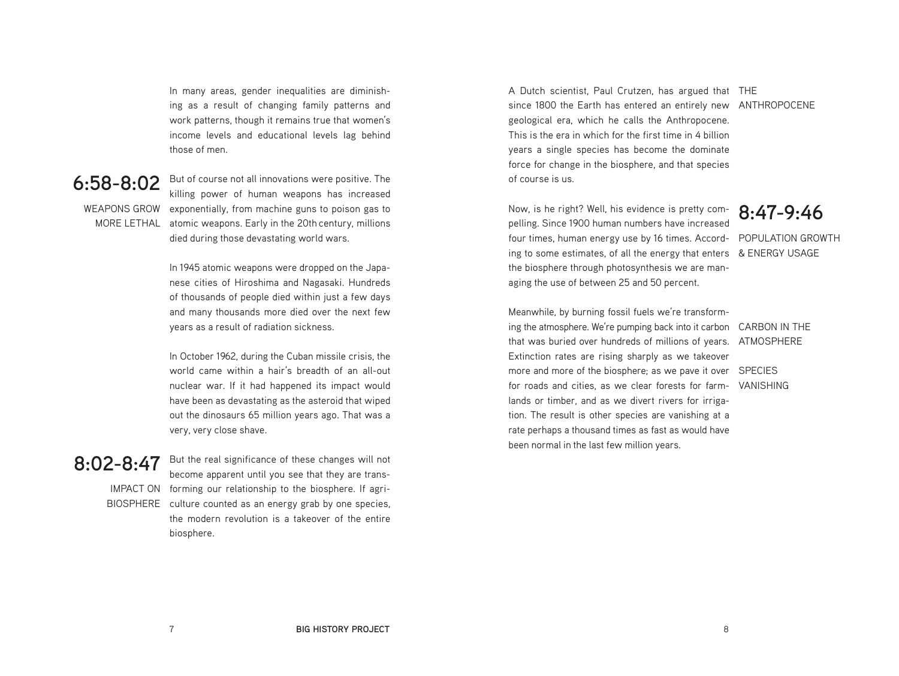In many areas, gender inequalities are diminishing as a result of changing family patterns and work patterns, though it remains true that women's income levels and educational levels lag behind those of men.

#### **6:58-8:02**

WEAPONS GROW exponentially, from machine guns to poison gas to MORE LETHAL atomic weapons. Early in the 20th century, millions But of course not all innovations were positive. The killing power of human weapons has increased died during those devastating world wars.

> In 1945 atomic weapons were dropped on the Japanese cities of Hiroshima and Nagasaki. Hundreds of thousands of people died within just a few days and many thousands more died over the next few years as a result of radiation sickness.

> In October 1962, during the Cuban missile crisis, the world came within a hair's breadth of an all-out nuclear war. If it had happened its impact would have been as devastating as the asteroid that wiped out the dinosaurs 65 million years ago. That was a very, very close shave.

> But the real significance of these changes will not

#### **8:02-8:47**

IMPACT ON forming our relationship to the biosphere. If agri-BIOSPHERE culture counted as an energy grab by one species, become apparent until you see that they are transthe modern revolution is a takeover of the entire biosphere.

A Dutch scientist, Paul Crutzen, has argued that THE since 1800 the Earth has entered an entirely new ANTHROPOCENE geological era, which he calls the Anthropocene. This is the era in which for the first time in 4 billion years a single species has become the dominate force for change in the biosphere, and that species of course is us.

Now, is he right? Well, his evidence is pretty com-<br>polling Since 1900 burner numbers have increased<br>**8:47-9:46** four times, human energy use by 16 times. Accord- POPULATION GROWTH ing to some estimates, of all the energy that enters & ENERGY USAGE pelling. Since 1900 human numbers have increased the biosphere through photosynthesis we are managing the use of between 25 and 50 percent.

ing the atmosphere. We're pumping back into it carbon CARBON IN THE that was buried over hundreds of millions of years. ATMOSPHERE more and more of the biosphere; as we pave it over SPECIES for roads and cities, as we clear forests for farm- VANISHING Meanwhile, by burning fossil fuels we're transform-Extinction rates are rising sharply as we takeover lands or timber, and as we divert rivers for irrigation. The result is other species are vanishing at a rate perhaps a thousand times as fast as would have been normal in the last few million years.